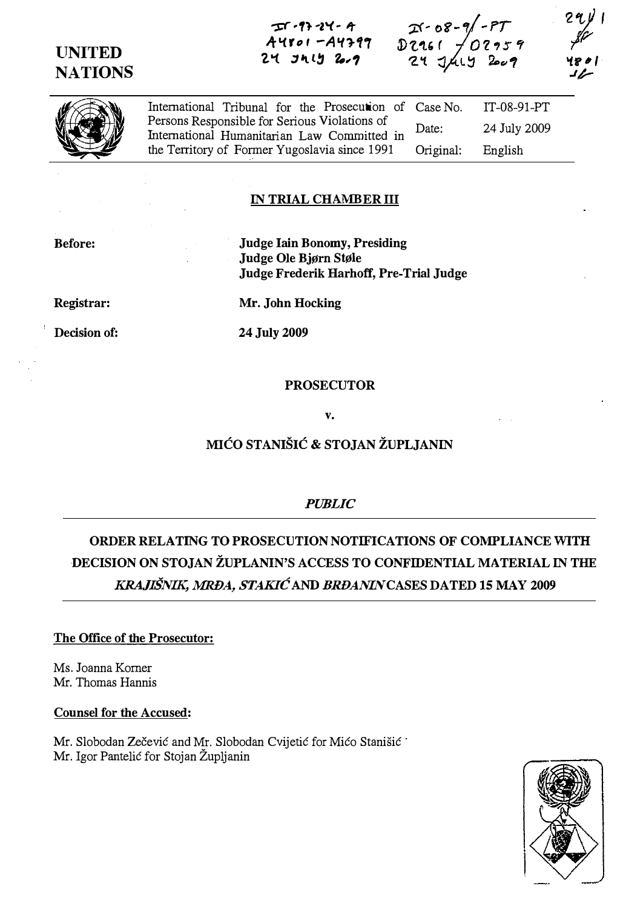## UNITED **NATIONS**

 $T^{(1)}$   $24 - 4$ A4801 - A4399  $24$   $31$   $13$   $2.2$ 





 $\bigcirc$ International Tribunal for the Prosecution of Persons Responsible for Serious Violations of International Humanitarian Law Committed in the Territory of Former Yugoslavia since 1991 Case No. Date: Original: IT-08-91-PT 24 July 2009 English

### IN TRIAL CHAMBER ill

Before:

Judge Iain Bonomy, Presiding Judge Ole Bjørn Støle Judge Frederik Harhoff, Pre-Trial Judge

Registrar:

Decision of:

Mr. John Hocking

24 July 2009

PROSECUTOR

V.

### MIĆO STANIŠIĆ & STOJAN ŽUPLJANIN

PUBLIC

# ORDER RELATING TO PROSECUTION NOTIFICATIONS OF COMPLIANCE WITH DECISION ON STOJAN ŽUPLANIN'S ACCESS TO CONFIDENTIAL MATERIAL IN THE KRAJIŠNIK, MRĐA, STAKIĆ AND BRĐANINCASES DATED 15 MAY 2009

### The Office of the Prosecutor:

Ms. Joanna Komer Mr. Thomas Hannis

#### Counsel for the Accused:

Mr. Slobodan Zečević and Mr. Slobodan Cvijetić for Mićo Stanišić Mr. Igor Pantelić for Stojan Župljanin

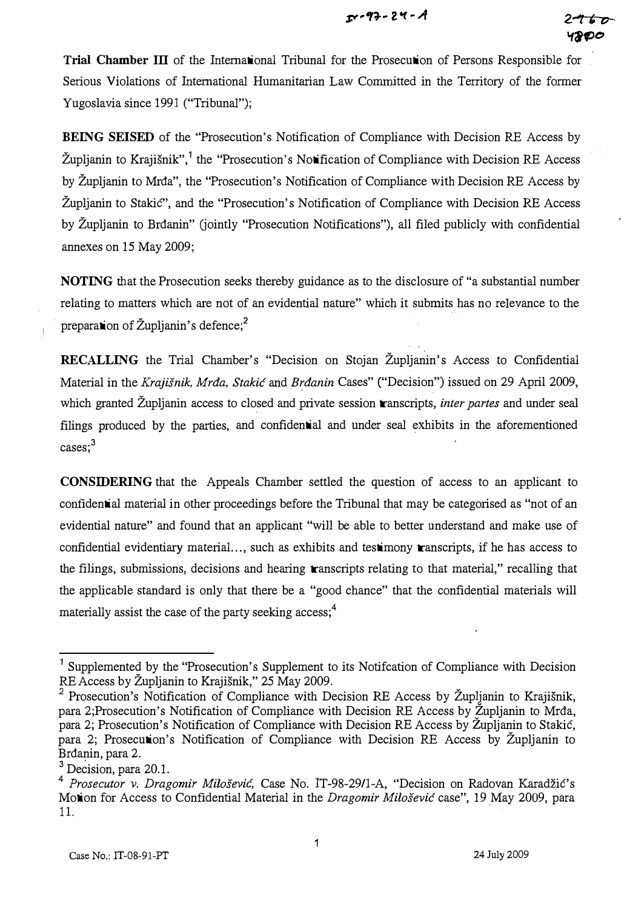Trial Chamber III of the International Tribunal for the Prosecution of Persons Responsible for Serious Violations of International Humanitarian Law Committed in the Territory of the former Yugoslavia since 1991 ("Tribunal");

BEING SEISED of the "Prosecution's Notification of Compliance with Decision RE Access by Župljanin to Krajišnik",<sup>1</sup> the "Prosecution's Notification of Compliance with Decision RE Access by Župljanin to Mrđa", the "Prosecution's Notification of Compliance with Decision RE Access by Župljanin to Stakić", and the "Prosecution's Notification of Compliance with Decision RE Access by Župljanin to Brđanin" (jointly "Prosecution Notifications"), all filed publicly with confidential annexes on 15 May 2009;

NOTING that the Prosecution seeks thereby guidance as to the disclosure of "a substantial number relating to matters which are not of an evidential nature" which it submits has no relevance to the preparation of Župljanin's defence;<sup>2</sup>

RECALLING the Trial Chamber's "Decision on Stojan Župljanin's Access to Confidential Material in the Krajišnik, Mrđa, Stakić and Brđanin Cases" ("Decision") issued on 29 April 2009, which granted Župljanin access to closed and private session transcripts, *inter partes* and under seal filings produced by the parties, and confidential and under seal exhibits in the aforementioned cases;<sup>3</sup>

CONSIDERING that the Appeals Chamber settled the question of access to an .applicant to confidential material in other proceedings before the Tribunal that may be categorised as "not of an evidential nature" and found that an applicant "will be able to better understand and make use of confidential evidentiary material..., such as exhibits and testimony transcripts, if he has access to the filings, submissions, decisions and hearing transcripts relating to that material," recalling that the applicable standard is only that there be a "good chance" that the confidential materials will materially assist the case of the party seeking access;<sup>4</sup>

1

Supplemented by the "Prosecution's Supplement to its Notifcation of Compliance with Decision RE Access by Župljanin to Krajišnik," 25 May 2009.

<sup>&</sup>lt;sup>2</sup> Prosecution's Notification of Compliance with Decision RE Access by Župljanin to Krajišnik, para 2; Prosecution's Notification of Compliance with Decision RE Access by Župljanin to Mrđa, para 2; Prosecution's Notification of Compliance with Decision RE Access by Zupljanin to Stakić, para 2; Prosecution's Notification of Compliance with Decision RE Access by Župljanin to Brđanin, para 2.

<sup>&</sup>lt;sup>3</sup> Decision, para 20.1.

<sup>4</sup> Prosecutor v. Dragomir Milošević, Case No. IT-98-29/l-A, "Decision on Radovan Karadžić's Motion for Access to Confidential Material in the Dragomir Milošević case", 19 May 2009, para ll.